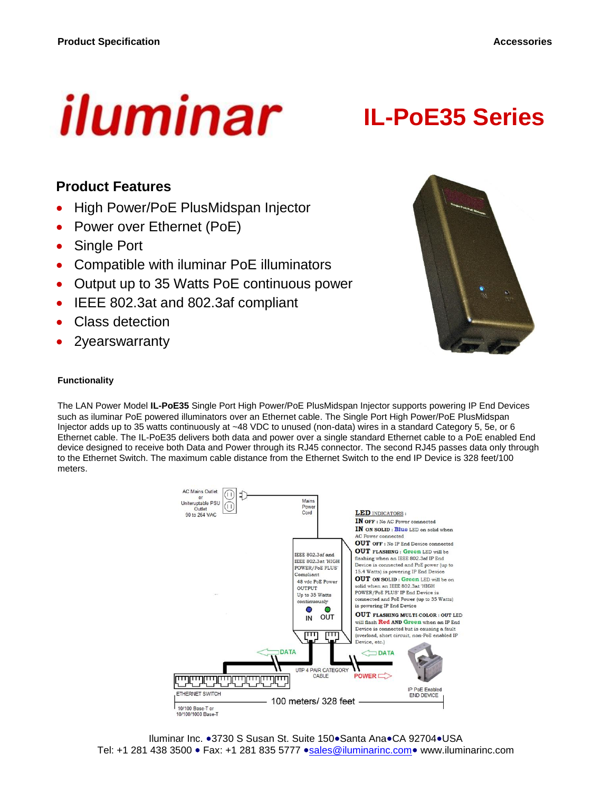

# **IL-PoE35 Series**

#### **Product Features**

- High Power/PoE PlusMidspan Injector
- Power over Ethernet (PoE)
- Single Port
- Compatible with iluminar PoE illuminators
- Output up to 35 Watts PoE continuous power
- IEEE 802.3at and 802.3af compliant
- Class detection
- 2yearswarranty



#### **Functionality**

The LAN Power Model **IL-PoE35** Single Port High Power/PoE PlusMidspan Injector supports powering IP End Devices such as iluminar PoE powered illuminators over an Ethernet cable. The Single Port High Power/PoE PlusMidspan Injector adds up to 35 watts continuously at ~48 VDC to unused (non-data) wires in a standard Category 5, 5e, or 6 Ethernet cable. The IL-PoE35 delivers both data and power over a single standard Ethernet cable to a PoE enabled End device designed to receive both Data and Power through its RJ45 connector. The second RJ45 passes data only through to the Ethernet Switch. The maximum cable distance from the Ethernet Switch to the end IP Device is 328 feet/100 meters.